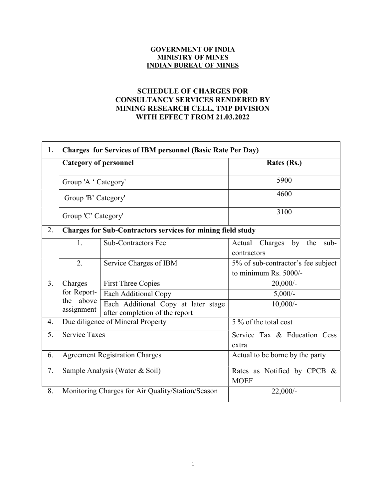## GOVERNMENT OF INDIA MINISTRY OF MINES INDIAN BUREAU OF MINES

## SCHEDULE OF CHARGES FOR CONSULTANCY SERVICES RENDERED BY MINING RESEARCH CELL, TMP DIVISION WITH EFFECT FROM 21.03.2022

| 1. | <b>Charges for Services of IBM personnel (Basic Rate Per Day)</b> |                                                                       |                                                             |
|----|-------------------------------------------------------------------|-----------------------------------------------------------------------|-------------------------------------------------------------|
|    | <b>Category of personnel</b>                                      |                                                                       | Rates (Rs.)                                                 |
|    | Group 'A ' Category'                                              |                                                                       | 5900                                                        |
|    | Group 'B' Category'<br>Group 'C' Category'                        |                                                                       | 4600                                                        |
|    |                                                                   |                                                                       | 3100                                                        |
| 2. | Charges for Sub-Contractors services for mining field study       |                                                                       |                                                             |
|    | 1.                                                                | <b>Sub-Contractors Fee</b>                                            | Charges<br>by the<br>Actual<br>$sub-$<br>contractors        |
|    | 2.                                                                | Service Charges of IBM                                                | 5% of sub-contractor's fee subject<br>to minimum Rs. 5000/- |
| 3. | Charges                                                           | <b>First Three Copies</b>                                             | $20,000/$ -                                                 |
|    | for Report-                                                       | Each Additional Copy                                                  | $5,000/-$                                                   |
|    | the above<br>assignment                                           | Each Additional Copy at later stage<br>after completion of the report | $10,000/-$                                                  |
| 4. | Due diligence of Mineral Property                                 |                                                                       | 5 % of the total cost                                       |
| 5. | <b>Service Taxes</b>                                              |                                                                       | Service Tax & Education Cess<br>extra                       |
| 6. | <b>Agreement Registration Charges</b>                             |                                                                       | Actual to be borne by the party                             |
| 7. | Sample Analysis (Water & Soil)                                    |                                                                       | Rates as Notified by CPCB &<br><b>MOEF</b>                  |
| 8. | Monitoring Charges for Air Quality/Station/Season                 |                                                                       | $22,000/-$                                                  |